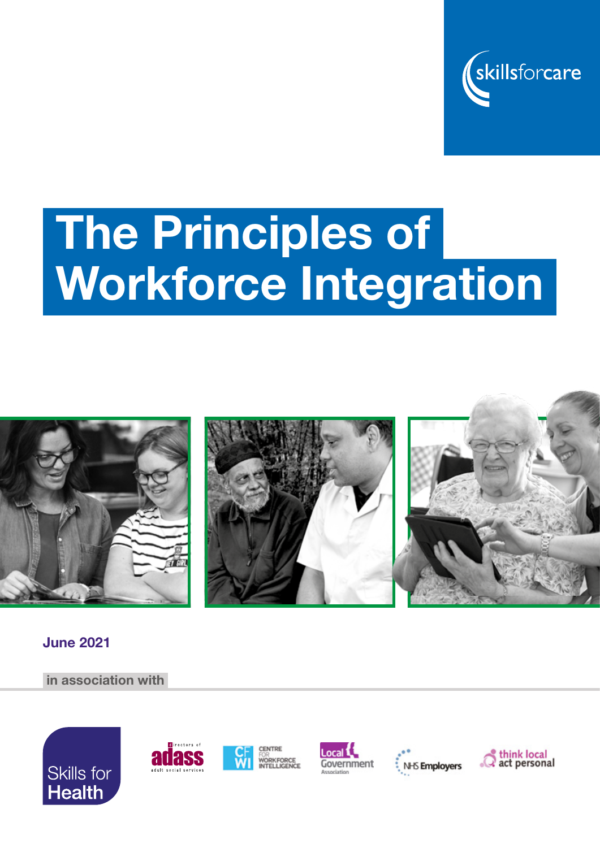

# The Principles of Workforce Integration



June 2021

in association with











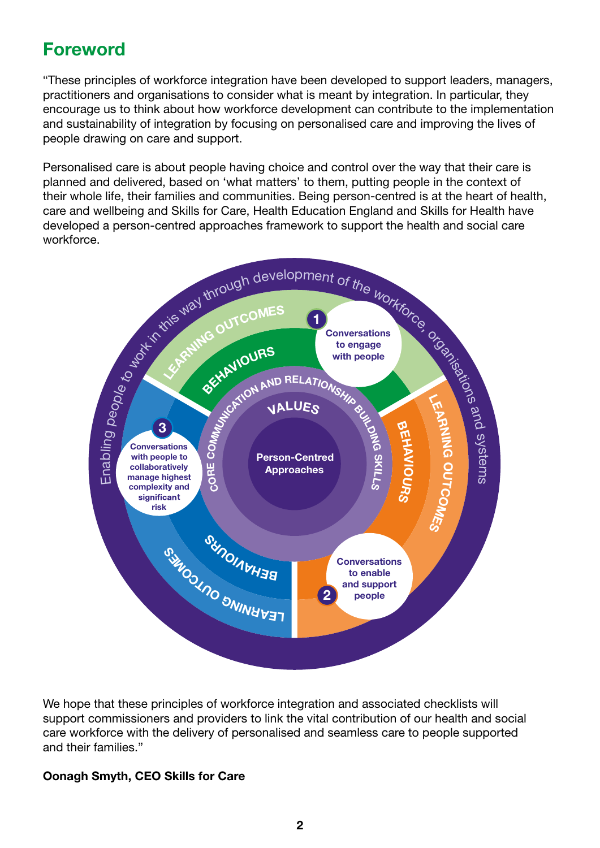#### Foreword

"These principles of workforce integration have been developed to support leaders, managers, practitioners and organisations to consider what is meant by integration. In particular, they encourage us to think about how workforce development can contribute to the implementation and sustainability of integration by focusing on personalised care and improving the lives of people drawing on care and support.

Personalised care is about people having choice and control over the way that their care is planned and delivered, based on 'what matters' to them, putting people in the context of their whole life, their families and communities. Being person-centred is at the heart of health, care and wellbeing and Skills for Care, Health Education England and Skills for Health have developed a person-centred approaches framework to support the health and social care workforce.



We hope that these principles of workforce integration and associated checklists will support commissioners and providers to link the vital contribution of our health and social care workforce with the delivery of personalised and seamless care to people supported and their families."

#### Oonagh Smyth, CEO Skills for Care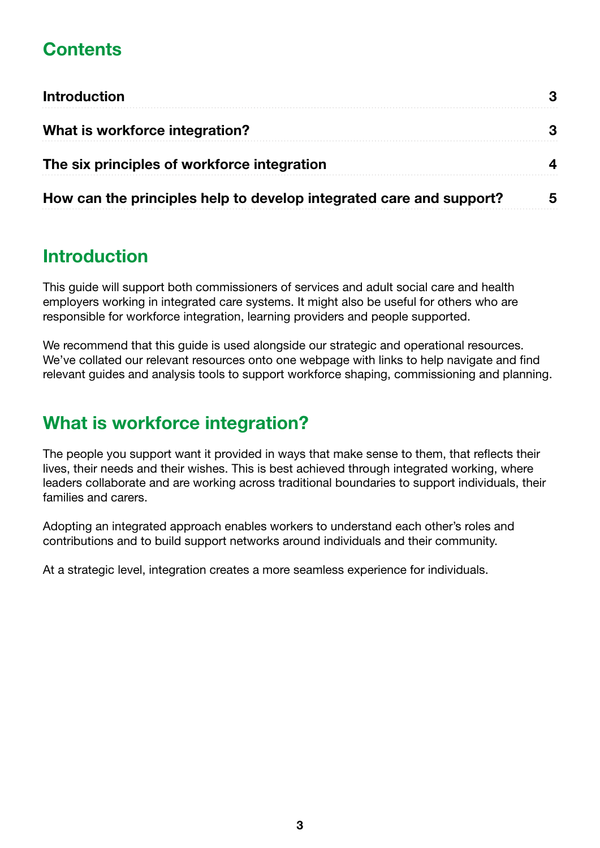## **Contents**

| <b>Introduction</b><br>What is workforce integration?<br>The six principles of workforce integration |  |                                                                     |
|------------------------------------------------------------------------------------------------------|--|---------------------------------------------------------------------|
|                                                                                                      |  |                                                                     |
|                                                                                                      |  | How can the principles help to develop integrated care and support? |

#### Introduction

This guide will support both commissioners of services and adult social care and health employers working in integrated care systems. It might also be useful for others who are responsible for workforce integration, learning providers and people supported.

We recommend that this guide is used alongside our strategic and operational resources. We've collated our relevant resources onto one webpage with links to help navigate and find relevant guides and analysis tools to support workforce shaping, commissioning and planning.

#### What is workforce integration?

The people you support want it provided in ways that make sense to them, that reflects their lives, their needs and their wishes. This is best achieved through integrated working, where leaders collaborate and are working across traditional boundaries to support individuals, their families and carers.

Adopting an integrated approach enables workers to understand each other's roles and contributions and to build support networks around individuals and their community.

At a strategic level, integration creates a more seamless experience for individuals.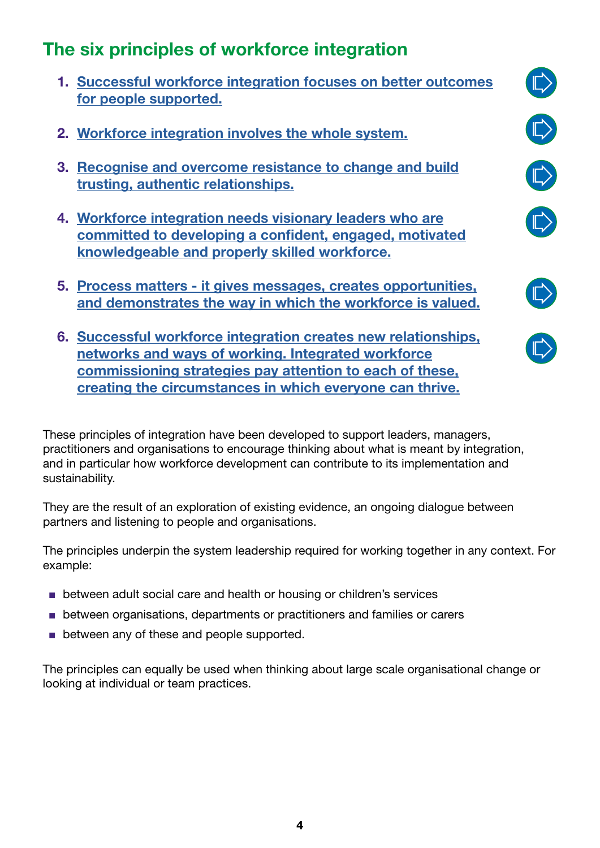#### The six principles of workforce integration

- 1. [Successful workforce integration focuses on better outcomes](#page-5-0) [for people supported.](#page-5-0)
- 2. [Workforce integration involves the whole system.](#page-6-0)
- 3. [Recognise and overcome resistance to change and build](#page-8-0) [trusting, authentic relationships.](#page-8-0)
- 4. [Workforce integration needs visionary leaders who are](#page-9-0) [committed to developing a confident, engaged, motivated](#page-9-0) [knowledgeable and properly skilled workforce.](#page-9-0)
- 5. [Process matters it gives messages, creates opportunities,](#page-11-0) [and demonstrates the way in which the workforce is valued.](#page-11-0)
- 6. [Successful workforce integration creates new relationships,](#page-12-0) [networks and ways of working. Integrated workforce](#page-12-0) [commissioning strategies pay attention to each of these,](#page-12-0) [creating the circumstances in which everyone can thrive.](#page-12-0)

These principles of integration have been developed to support leaders, managers, practitioners and organisations to encourage thinking about what is meant by integration, and in particular how workforce development can contribute to its implementation and sustainability.

They are the result of an exploration of existing evidence, an ongoing dialogue between partners and listening to people and organisations.

The principles underpin the system leadership required for working together in any context. For example:

- between adult social care and health or housing or children's services
- between organisations, departments or practitioners and families or carers
- between any of these and people supported.

The principles can equally be used when thinking about large scale organisational change or looking at individual or team practices.





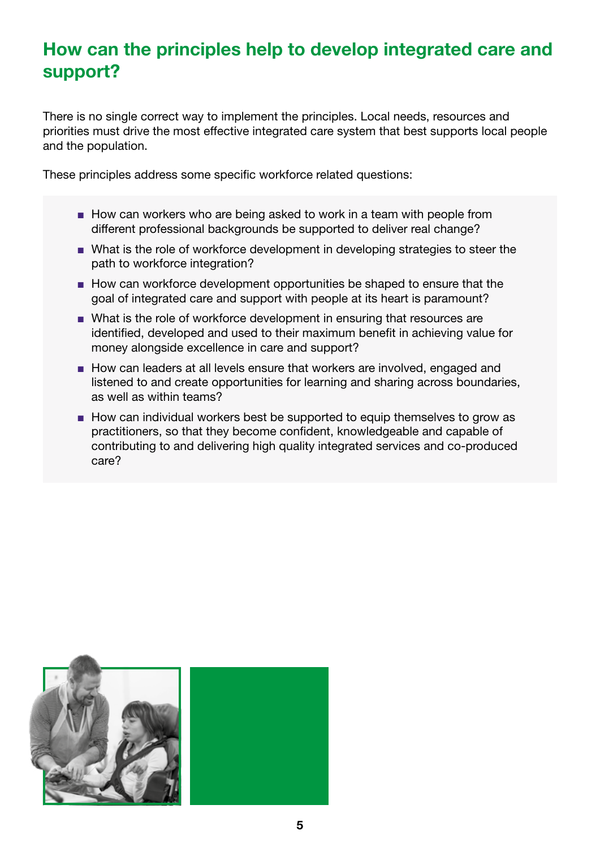### How can the principles help to develop integrated care and support?

There is no single correct way to implement the principles. Local needs, resources and priorities must drive the most effective integrated care system that best supports local people and the population.

These principles address some specific workforce related questions:

- How can workers who are being asked to work in a team with people from different professional backgrounds be supported to deliver real change?
- What is the role of workforce development in developing strategies to steer the path to workforce integration?
- How can workforce development opportunities be shaped to ensure that the goal of integrated care and support with people at its heart is paramount?
- What is the role of workforce development in ensuring that resources are identified, developed and used to their maximum benefit in achieving value for money alongside excellence in care and support?
- How can leaders at all levels ensure that workers are involved, engaged and listened to and create opportunities for learning and sharing across boundaries, as well as within teams?
- How can individual workers best be supported to equip themselves to grow as practitioners, so that they become confident, knowledgeable and capable of contributing to and delivering high quality integrated services and co-produced care?

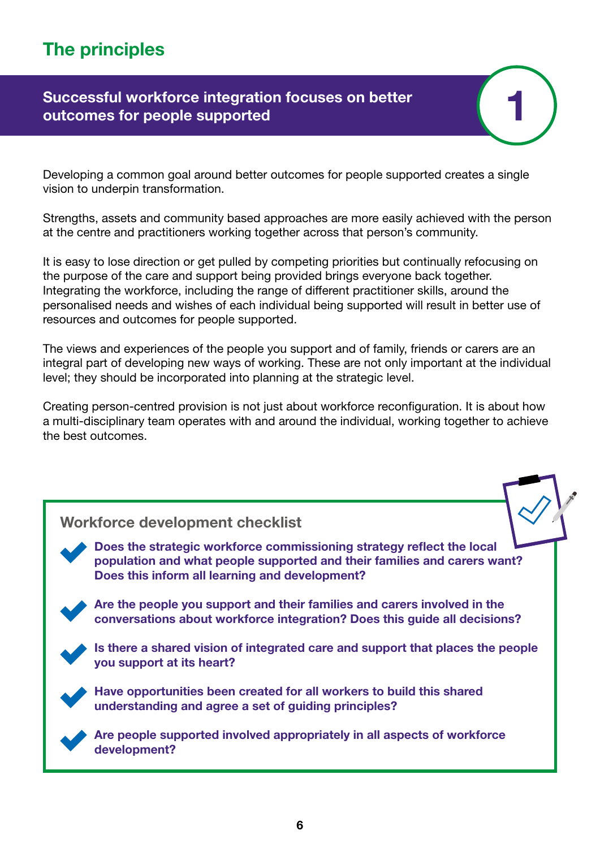## <span id="page-5-0"></span>The principles

#### Successful workforce integration focuses on better outcomes for people supported

Developing a common goal around better outcomes for people supported creates a single vision to underpin transformation.

Strengths, assets and community based approaches are more easily achieved with the person at the centre and practitioners working together across that person's community.

1

It is easy to lose direction or get pulled by competing priorities but continually refocusing on the purpose of the care and support being provided brings everyone back together. Integrating the workforce, including the range of different practitioner skills, around the personalised needs and wishes of each individual being supported will result in better use of resources and outcomes for people supported.

The views and experiences of the people you support and of family, friends or carers are an integral part of developing new ways of working. These are not only important at the individual level; they should be incorporated into planning at the strategic level.

Creating person-centred provision is not just about workforce reconfiguration. It is about how a multi-disciplinary team operates with and around the individual, working together to achieve the best outcomes.

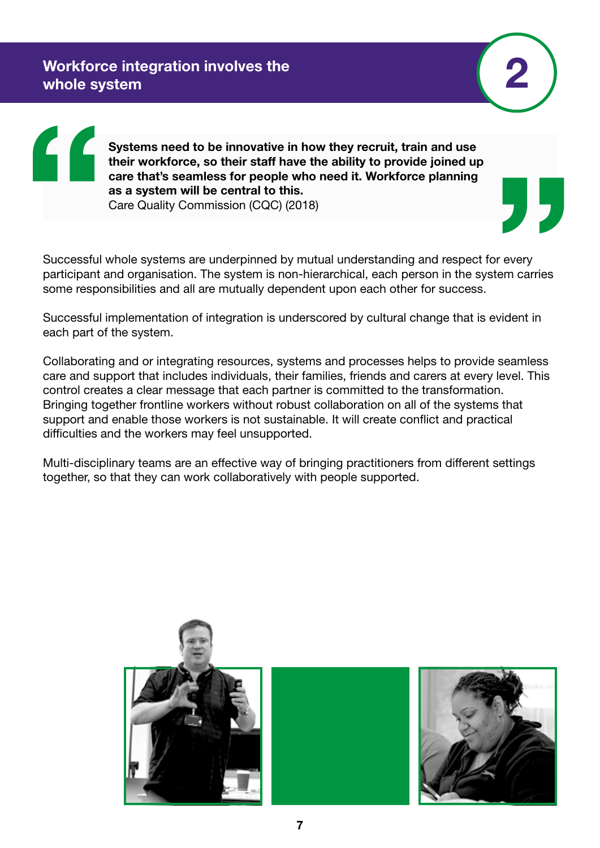2

<span id="page-6-0"></span>Systems need to be innovative in how they recruit, train and use their workforce, so their staff have the ability to provide joined up care that's seamless for people who need it. Workforce planning as a system will be central to this. Care Quality Commission (CQC) (2018)

Successful whole systems are underpinned by mutual understanding and respect for every participant and organisation. The system is non-hierarchical, each person in the system carries some responsibilities and all are mutually dependent upon each other for success.

Successful implementation of integration is underscored by cultural change that is evident in each part of the system.

Collaborating and or integrating resources, systems and processes helps to provide seamless care and support that includes individuals, their families, friends and carers at every level. This control creates a clear message that each partner is committed to the transformation. Bringing together frontline workers without robust collaboration on all of the systems that support and enable those workers is not sustainable. It will create conflict and practical difficulties and the workers may feel unsupported.

Multi-disciplinary teams are an effective way of bringing practitioners from different settings together, so that they can work collaboratively with people supported.

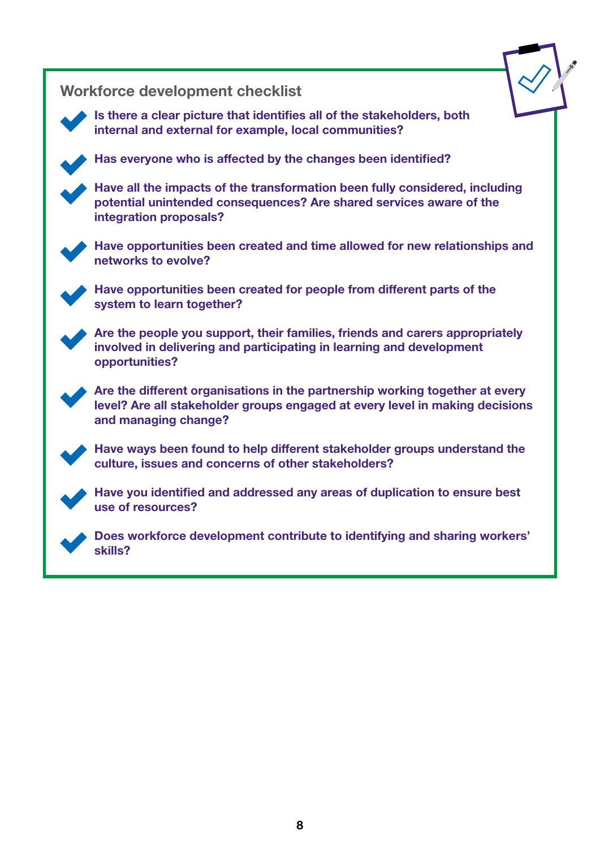Workforce development checklist Is there a clear picture that identifies all of the stakeholders, both internal and external for example, local communities? Has everyone who is affected by the changes been identified? Have all the impacts of the transformation been fully considered, including potential unintended consequences? Are shared services aware of the integration proposals? Have opportunities been created and time allowed for new relationships and networks to evolve? Have opportunities been created for people from different parts of the system to learn together? Are the people you support, their families, friends and carers appropriately involved in delivering and participating in learning and development opportunities? Are the different organisations in the partnership working together at every level? Are all stakeholder groups engaged at every level in making decisions and managing change? Have ways been found to help different stakeholder groups understand the culture, issues and concerns of other stakeholders? Have you identified and addressed any areas of duplication to ensure best use of resources? Does workforce development contribute to identifying and sharing workers' skills?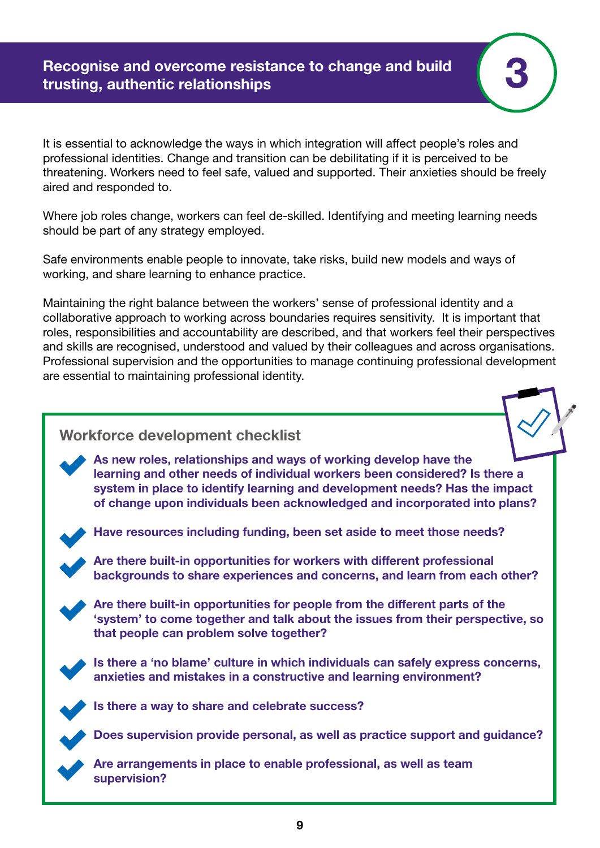<span id="page-8-0"></span>It is essential to acknowledge the ways in which integration will affect people's roles and professional identities. Change and transition can be debilitating if it is perceived to be threatening. Workers need to feel safe, valued and supported. Their anxieties should be freely aired and responded to.

3

Where job roles change, workers can feel de-skilled. Identifying and meeting learning needs should be part of any strategy employed.

Safe environments enable people to innovate, take risks, build new models and ways of working, and share learning to enhance practice.

Maintaining the right balance between the workers' sense of professional identity and a collaborative approach to working across boundaries requires sensitivity. It is important that roles, responsibilities and accountability are described, and that workers feel their perspectives and skills are recognised, understood and valued by their colleagues and across organisations. Professional supervision and the opportunities to manage continuing professional development are essential to maintaining professional identity.

#### Workforce development checklist

As new roles, relationships and ways of working develop have the learning and other needs of individual workers been considered? Is there a system in place to identify learning and development needs? Has the impact of change upon individuals been acknowledged and incorporated into plans?



Have resources including funding, been set aside to meet those needs?

Are there built-in opportunities for workers with different professional backgrounds to share experiences and concerns, and learn from each other?



Are there built-in opportunities for people from the different parts of the 'system' to come together and talk about the issues from their perspective, so that people can problem solve together?



Is there a 'no blame' culture in which individuals can safely express concerns, anxieties and mistakes in a constructive and learning environment?



Is there a way to share and celebrate success?

Does supervision provide personal, as well as practice support and guidance?

Are arrangements in place to enable professional, as well as team supervision?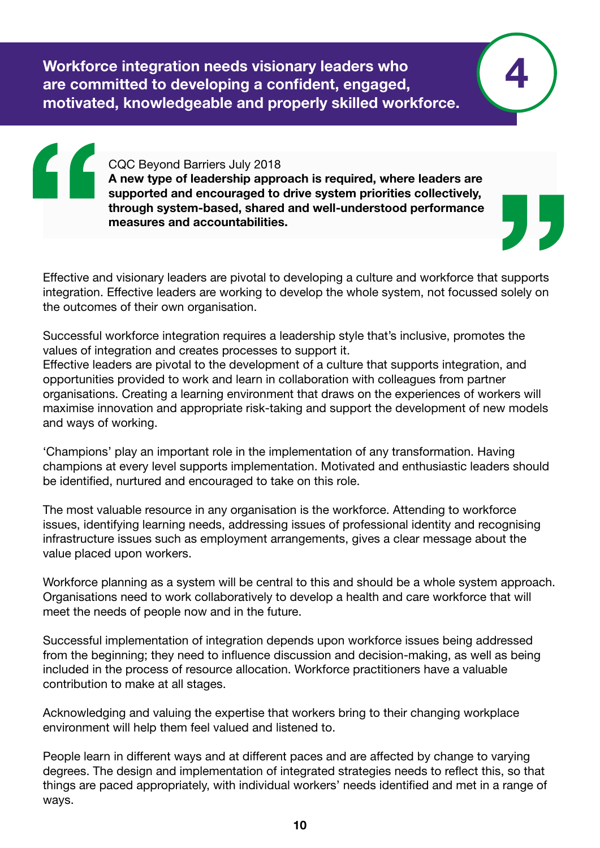<span id="page-9-0"></span>Workforce integration needs visionary leaders who are committed to developing a confident, engaged, motivated, knowledgeable and properly skilled workforce.

> CQC Beyond Barriers July 2018 A new type of leadership approach is required, where leaders are supported and encouraged to drive system priorities collectively, through system-based, shared and well-understood performance measures and accountabilities.

4

Effective and visionary leaders are pivotal to developing a culture and workforce that supports integration. Effective leaders are working to develop the whole system, not focussed solely on the outcomes of their own organisation.

Successful workforce integration requires a leadership style that's inclusive, promotes the values of integration and creates processes to support it. Effective leaders are pivotal to the development of a culture that supports integration, and opportunities provided to work and learn in collaboration with colleagues from partner organisations. Creating a learning environment that draws on the experiences of workers will maximise innovation and appropriate risk-taking and support the development of new models and ways of working.

'Champions' play an important role in the implementation of any transformation. Having champions at every level supports implementation. Motivated and enthusiastic leaders should be identified, nurtured and encouraged to take on this role.

The most valuable resource in any organisation is the workforce. Attending to workforce issues, identifying learning needs, addressing issues of professional identity and recognising infrastructure issues such as employment arrangements, gives a clear message about the value placed upon workers.

Workforce planning as a system will be central to this and should be a whole system approach. Organisations need to work collaboratively to develop a health and care workforce that will meet the needs of people now and in the future.

Successful implementation of integration depends upon workforce issues being addressed from the beginning; they need to influence discussion and decision-making, as well as being included in the process of resource allocation. Workforce practitioners have a valuable contribution to make at all stages.

Acknowledging and valuing the expertise that workers bring to their changing workplace environment will help them feel valued and listened to.

People learn in different ways and at different paces and are affected by change to varying degrees. The design and implementation of integrated strategies needs to reflect this, so that things are paced appropriately, with individual workers' needs identified and met in a range of ways.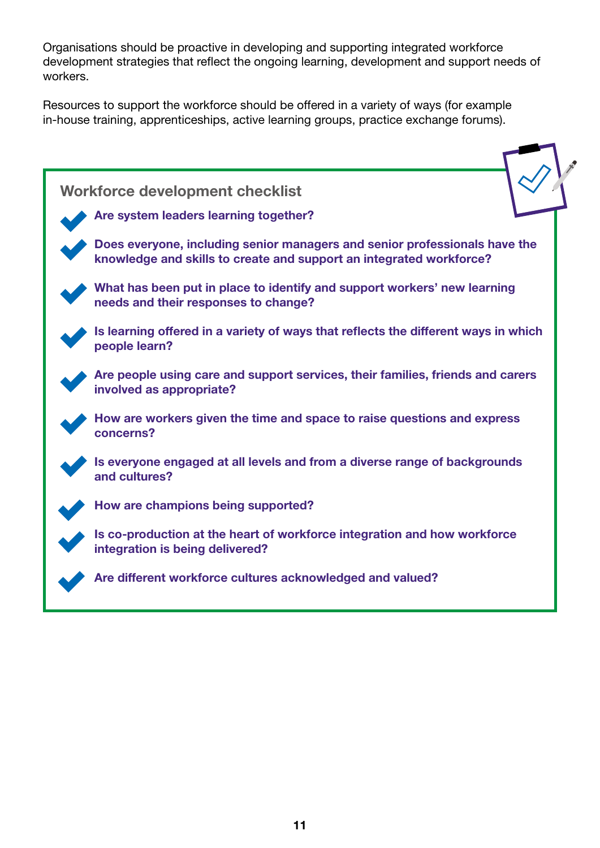Organisations should be proactive in developing and supporting integrated workforce development strategies that reflect the ongoing learning, development and support needs of workers.

Resources to support the workforce should be offered in a variety of ways (for example in-house training, apprenticeships, active learning groups, practice exchange forums).

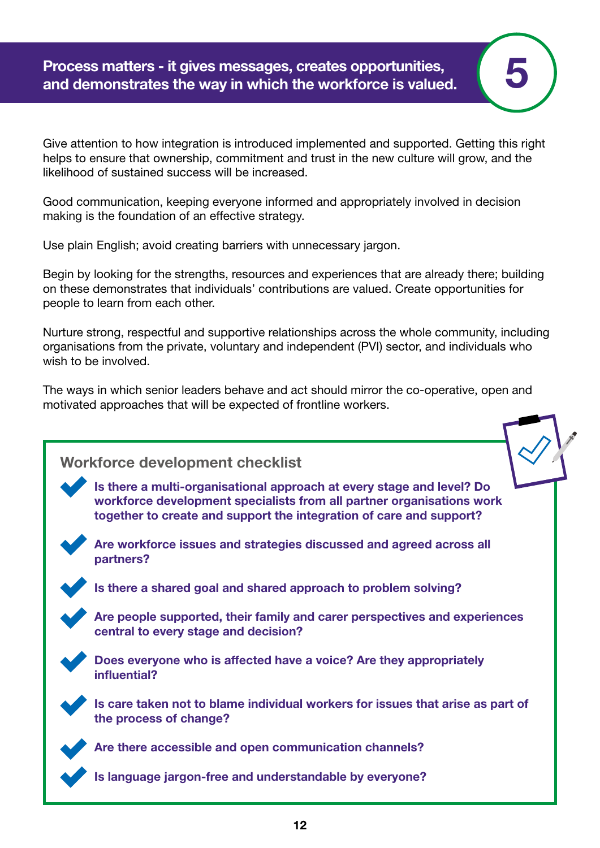<span id="page-11-0"></span>Process matters - it gives messages, creates opportunities, and demonstrates the way in which the workforce is valued.

Give attention to how integration is introduced implemented and supported. Getting this right helps to ensure that ownership, commitment and trust in the new culture will grow, and the likelihood of sustained success will be increased.

5

Good communication, keeping everyone informed and appropriately involved in decision making is the foundation of an effective strategy.

Use plain English; avoid creating barriers with unnecessary jargon.

Begin by looking for the strengths, resources and experiences that are already there; building on these demonstrates that individuals' contributions are valued. Create opportunities for people to learn from each other.

Nurture strong, respectful and supportive relationships across the whole community, including organisations from the private, voluntary and independent (PVI) sector, and individuals who wish to be involved.

The ways in which senior leaders behave and act should mirror the co-operative, open and motivated approaches that will be expected of frontline workers.

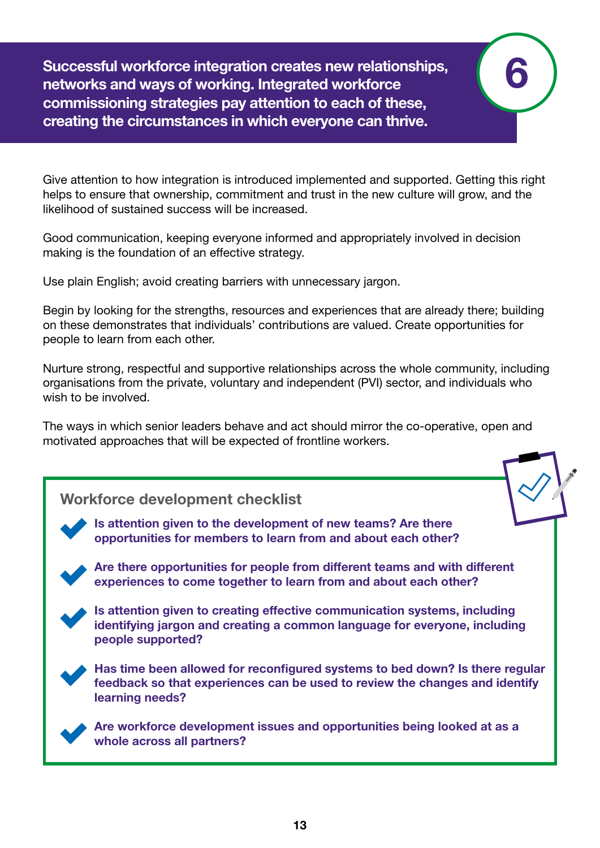<span id="page-12-0"></span>Successful workforce integration creates new relationships, networks and ways of working. Integrated workforce commissioning strategies pay attention to each of these, creating the circumstances in which everyone can thrive.

Give attention to how integration is introduced implemented and supported. Getting this right helps to ensure that ownership, commitment and trust in the new culture will grow, and the likelihood of sustained success will be increased.

6

Good communication, keeping everyone informed and appropriately involved in decision making is the foundation of an effective strategy.

Use plain English; avoid creating barriers with unnecessary jargon.

Begin by looking for the strengths, resources and experiences that are already there; building on these demonstrates that individuals' contributions are valued. Create opportunities for people to learn from each other.

Nurture strong, respectful and supportive relationships across the whole community, including organisations from the private, voluntary and independent (PVI) sector, and individuals who wish to be involved.

The ways in which senior leaders behave and act should mirror the co-operative, open and motivated approaches that will be expected of frontline workers.